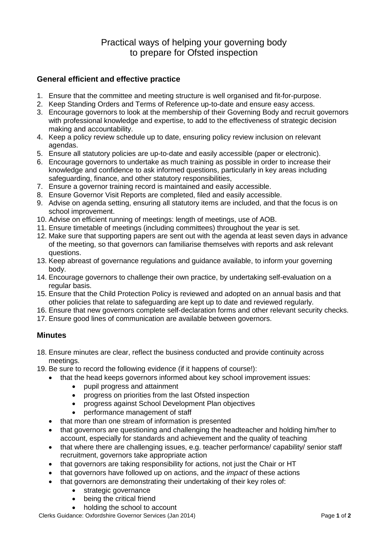## Practical ways of helping your governing body to prepare for Ofsted inspection

## **General efficient and effective practice**

- 1. Ensure that the committee and meeting structure is well organised and fit-for-purpose.
- 2. Keep Standing Orders and Terms of Reference up-to-date and ensure easy access.
- 3. Encourage governors to look at the membership of their Governing Body and recruit governors with professional knowledge and expertise, to add to the effectiveness of strategic decision making and accountability.
- 4. Keep a policy review schedule up to date, ensuring policy review inclusion on relevant agendas.
- 5. Ensure all statutory policies are up-to-date and easily accessible (paper or electronic).
- 6. Encourage governors to undertake as much training as possible in order to increase their knowledge and confidence to ask informed questions, particularly in key areas including safeguarding, finance, and other statutory responsibilities,
- 7. Ensure a governor training record is maintained and easily accessible.
- 8. Ensure Governor Visit Reports are completed, filed and easily accessible.
- 9. Advise on agenda setting, ensuring all statutory items are included, and that the focus is on school improvement.
- 10. Advise on efficient running of meetings: length of meetings, use of AOB.
- 11. Ensure timetable of meetings (including committees) throughout the year is set.
- 12. Make sure that supporting papers are sent out with the agenda at least seven days in advance of the meeting, so that governors can familiarise themselves with reports and ask relevant questions.
- 13. Keep abreast of governance regulations and guidance available, to inform your governing body.
- 14. Encourage governors to challenge their own practice, by undertaking self-evaluation on a regular basis.
- 15. Ensure that the Child Protection Policy is reviewed and adopted on an annual basis and that other policies that relate to safeguarding are kept up to date and reviewed regularly.
- 16. Ensure that new governors complete self-declaration forms and other relevant security checks.
- 17. Ensure good lines of communication are available between governors.

## **Minutes**

- 18. Ensure minutes are clear, reflect the business conducted and provide continuity across meetings.
- 19. Be sure to record the following evidence (if it happens of course!):
	- that the head keeps governors informed about key school improvement issues:
		- pupil progress and attainment
		- progress on priorities from the last Ofsted inspection
		- progress against School Development Plan objectives
		- performance management of staff
	- that more than one stream of information is presented
	- that governors are questioning and challenging the headteacher and holding him/her to account, especially for standards and achievement and the quality of teaching
	- that where there are challenging issues, e.g. teacher performance/ capability/ senior staff recruitment, governors take appropriate action
	- that governors are taking responsibility for actions, not just the Chair or HT
	- that governors have followed up on actions, and the *impact* of these actions
	- that governors are demonstrating their undertaking of their key roles of:
		- strategic governance
		- being the critical friend
		- holding the school to account

Clerks Guidance: Oxfordshire Governor Services (Jan 2014) Page **1** of **2**